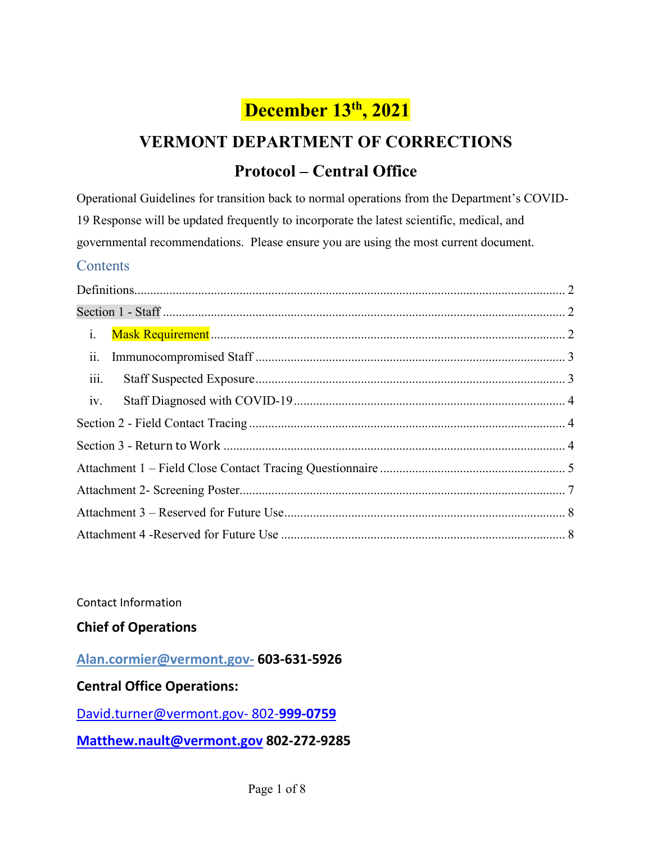# **December 13th, 2021**

# **VERMONT DEPARTMENT OF CORRECTIONS Protocol – Central Office**

Operational Guidelines for transition back to normal operations from the Department's COVID-19 Response will be updated frequently to incorporate the latest scientific, medical, and governmental recommendations. Please ensure you are using the most current document.

#### **Contents**

| $i$ . |  |
|-------|--|
| ii.   |  |
| iii.  |  |
| iv.   |  |
|       |  |
|       |  |
|       |  |
|       |  |
|       |  |
|       |  |

Contact Information

### **Chief of Operations**

#### **Alan.cormier@vermont.gov- 603-631-5926**

### **Central Office Operations:**

[David.turner@vermont.gov-](mailto:David.turner@vermont.gov-%20802-) 802-**999-0759**

**[Matthew.nault@vermont.gov](mailto:Matthew.nault@vermont.gov) 802-272-9285**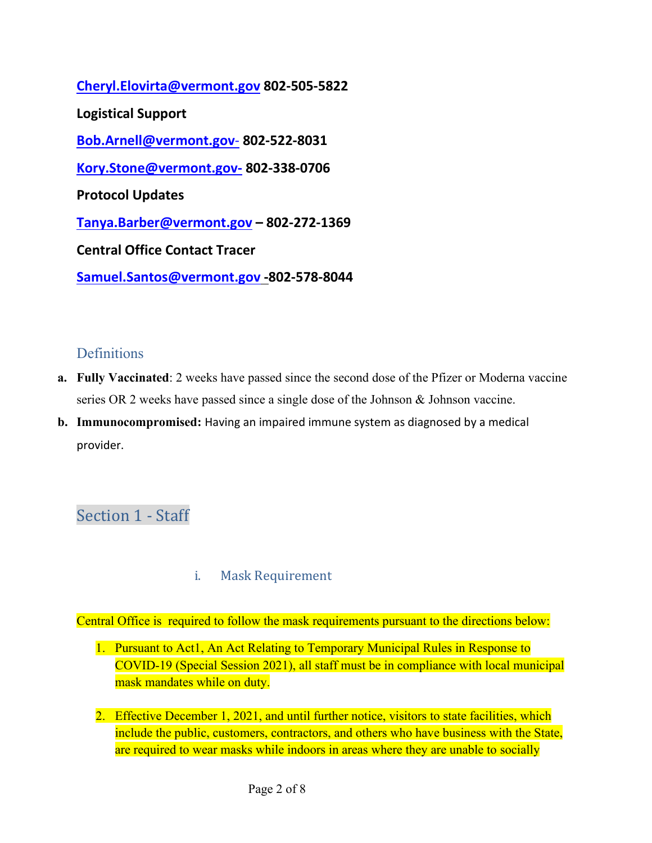**[Cheryl.Elovirta@vermont.gov](mailto:Cheryl.Elovirta@vermont.gov) 802-505-5822 Logistical Support [Bob.Arnell@vermont.gov](mailto:Bob.Arnell@vermont.gov-)**- **802-522-8031 Kory.Stone@vermont.gov- 802-338-0706 Protocol Updates [Tanya.Barber@vermont.gov](mailto:Tanya.Barber@vermont.gov) – 802-272-1369 Central Office Contact Tracer [Samuel.Santos@vermont.gov](mailto:Samuel.Santos@vermont.gov) -802-578-8044**

### <span id="page-1-0"></span>**Definitions**

- **a. Fully Vaccinated**: 2 weeks have passed since the second dose of the Pfizer or Moderna vaccine series OR 2 weeks have passed since a single dose of the Johnson & Johnson vaccine.
- **b. Immunocompromised:** Having an impaired immune system as diagnosed by a medical provider.

## <span id="page-1-1"></span>Section 1 - Staff

i. Mask Requirement

<span id="page-1-2"></span>Central Office is required to follow the mask requirements pursuant to the directions below:

- 1. Pursuant to Act1, An Act Relating to Temporary Municipal Rules in Response to COVID-19 (Special Session 2021), all staff must be in compliance with local municipal mask mandates while on duty.
- 2. Effective December 1, 2021, and until further notice, visitors to state facilities, which include the public, customers, contractors, and others who have business with the State, are required to wear masks while indoors in areas where they are unable to socially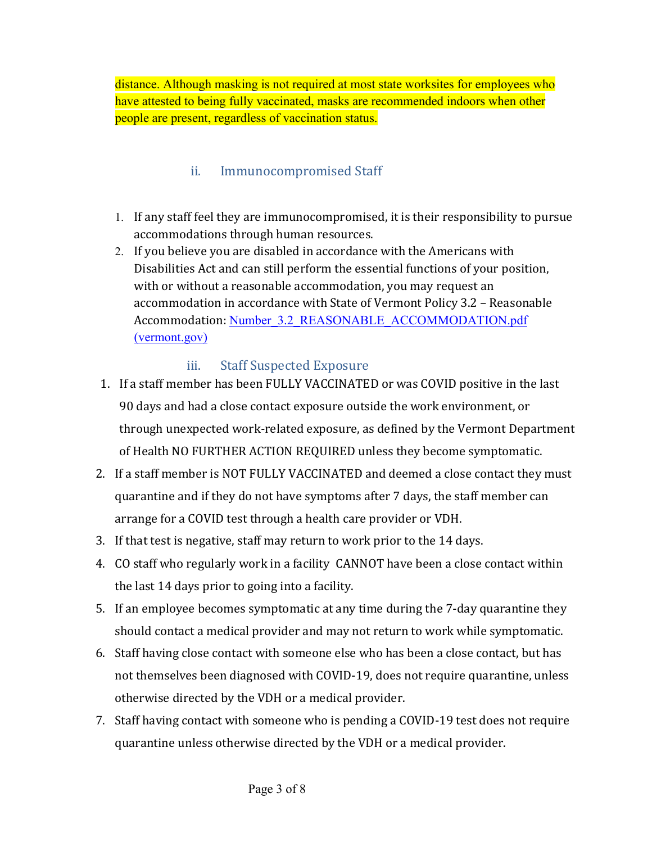distance. Although masking is not required at most state worksites for employees who have attested to being fully vaccinated, masks are recommended indoors when other people are present, regardless of vaccination status.

### ii. Immunocompromised Staff

- <span id="page-2-0"></span>1. If any staff feel they are immunocompromised, it is their responsibility to pursue accommodations through human resources.
- 2. If you believe you are disabled in accordance with the Americans with Disabilities Act and can still perform the essential functions of your position, with or without a reasonable accommodation, you may request an accommodation in accordance with State of Vermont Policy 3.2 – Reasonable Accommodation: Number 3.2 REASONABLE\_ACCOMMODATION.pdf [\(vermont.gov\)](https://humanresources.vermont.gov/sites/humanresources/files/documents/Labor_Relations_Policy_EEO/Policy_Procedure_Manual/Number_3.2_REASONABLE_ACCOMMODATION.pdf)

### iii. Staff Suspected Exposure

- <span id="page-2-1"></span>1. If a staff member has been FULLY VACCINATED or was COVID positive in the last 90 days and had a close contact exposure outside the work environment, or through unexpected work-related exposure, as defined by the Vermont Department of Health NO FURTHER ACTION REQUIRED unless they become symptomatic.
- 2. If a staff member is NOT FULLY VACCINATED and deemed a close contact they must quarantine and if they do not have symptoms after 7 days, the staff member can arrange for a COVID test through a health care provider or VDH.
- 3. If that test is negative, staff may return to work prior to the 14 days.
- 4. CO staff who regularly work in a facility CANNOT have been a close contact within the last 14 days prior to going into a facility.
- 5. If an employee becomes symptomatic at any time during the 7-day quarantine they should contact a medical provider and may not return to work while symptomatic.
- 6. Staff having close contact with someone else who has been a close contact, but has not themselves been diagnosed with COVID-19, does not require quarantine, unless otherwise directed by the VDH or a medical provider.
- 7. Staff having contact with someone who is pending a COVID-19 test does not require quarantine unless otherwise directed by the VDH or a medical provider.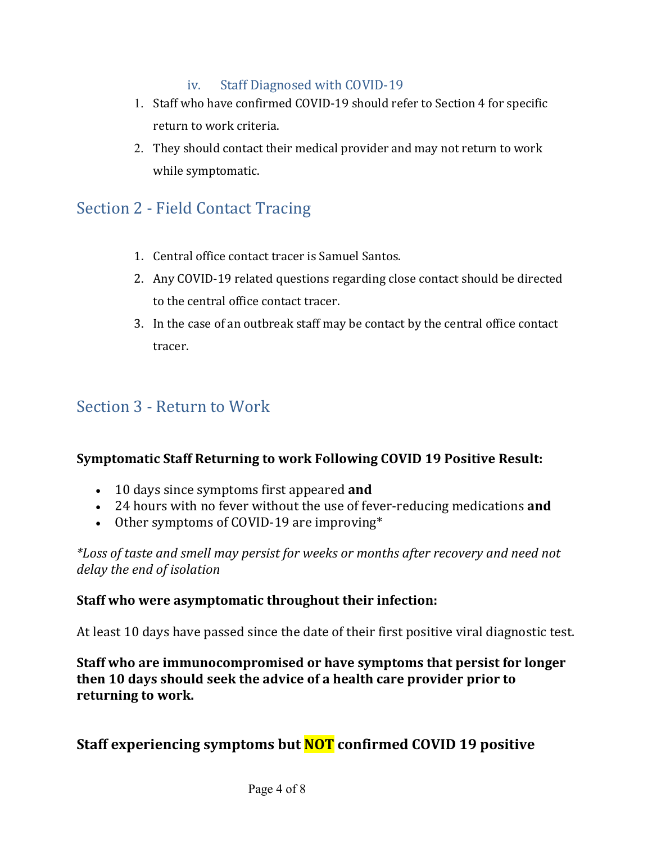#### iv. Staff Diagnosed with COVID-19

- <span id="page-3-0"></span>1. Staff who have confirmed COVID-19 should refer to Section 4 for specific return to work criteria.
- 2. They should contact their medical provider and may not return to work while symptomatic.

### <span id="page-3-1"></span>Section 2 - Field Contact Tracing

- 1. Central office contact tracer is Samuel Santos.
- 2. Any COVID-19 related questions regarding close contact should be directed to the central office contact tracer.
- 3. In the case of an outbreak staff may be contact by the central office contact tracer.

### <span id="page-3-2"></span>Section 3 - Return to Work

### **Symptomatic Staff Returning to work Following COVID 19 Positive Result:**

- 10 days since symptoms first appeared **and**
- 24 hours with no fever without the use of fever-reducing medications **and**
- Other symptoms of COVID-19 are improving\*

*\*Loss of taste and smell may persist for weeks or months after recovery and need not delay the end of isolation*

### **Staff who were asymptomatic throughout their infection:**

At least 10 days have passed since the date of their first positive viral diagnostic test.

**Staff who are immunocompromised or have symptoms that persist for longer then 10 days should seek the advice of a health care provider prior to returning to work.** 

### **Staff experiencing symptoms but NOT confirmed COVID 19 positive**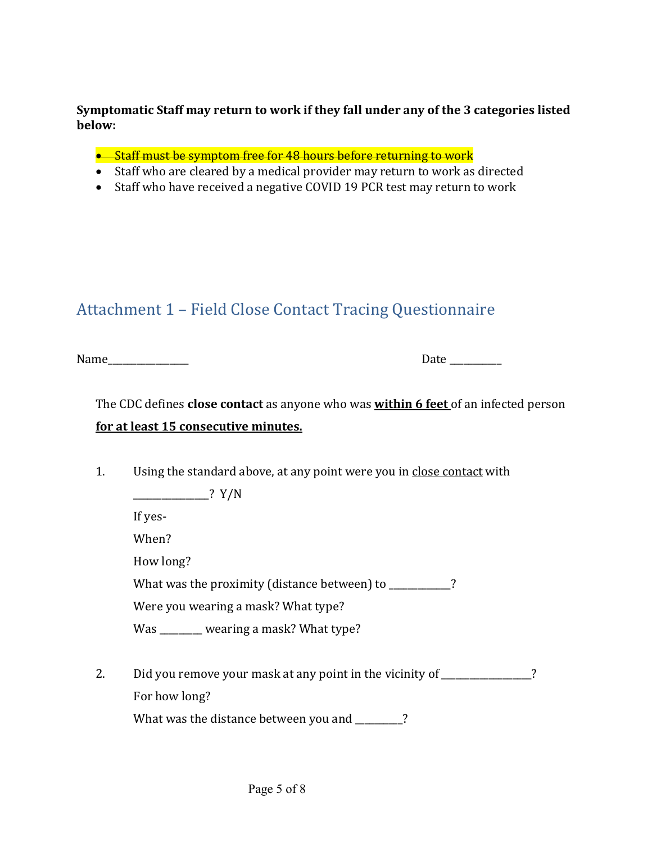#### **Symptomatic Staff may return to work if they fall under any of the 3 categories listed below:**

- Staff must be symptom free for 48 hours before returning to work
- Staff who are cleared by a medical provider may return to work as directed
- Staff who have received a negative COVID 19 PCR test may return to work

# <span id="page-4-0"></span>Attachment 1 – Field Close Contact Tracing Questionnaire

Name\_\_\_\_\_\_\_\_\_\_\_\_\_\_\_\_\_ Date \_\_\_\_\_\_\_\_\_\_\_

### The CDC defines **close contact** as anyone who was **within 6 feet** of an infected person **for at least 15 consecutive minutes.**

1. Using the standard above, at any point were you in close contact with

 $\frac{1}{2}$   $\frac{1}{2}$   $\frac{1}{2}$   $\frac{1}{2}$   $\frac{1}{2}$   $\frac{1}{2}$   $\frac{1}{2}$   $\frac{1}{2}$   $\frac{1}{2}$   $\frac{1}{2}$   $\frac{1}{2}$   $\frac{1}{2}$   $\frac{1}{2}$   $\frac{1}{2}$   $\frac{1}{2}$   $\frac{1}{2}$   $\frac{1}{2}$   $\frac{1}{2}$   $\frac{1}{2}$   $\frac{1}{2}$   $\frac{1}{2}$   $\frac{1}{2}$ 

If yes-

When?

How long?

What was the proximity (distance between) to \_\_\_\_\_\_\_\_\_\_?

Were you wearing a mask? What type?

Was \_\_\_\_\_\_\_\_ wearing a mask? What type?

2. Did you remove your mask at any point in the vicinity of \_\_\_\_\_\_\_\_\_\_\_\_\_\_? For how long?

What was the distance between you and \_\_\_\_\_\_\_\_?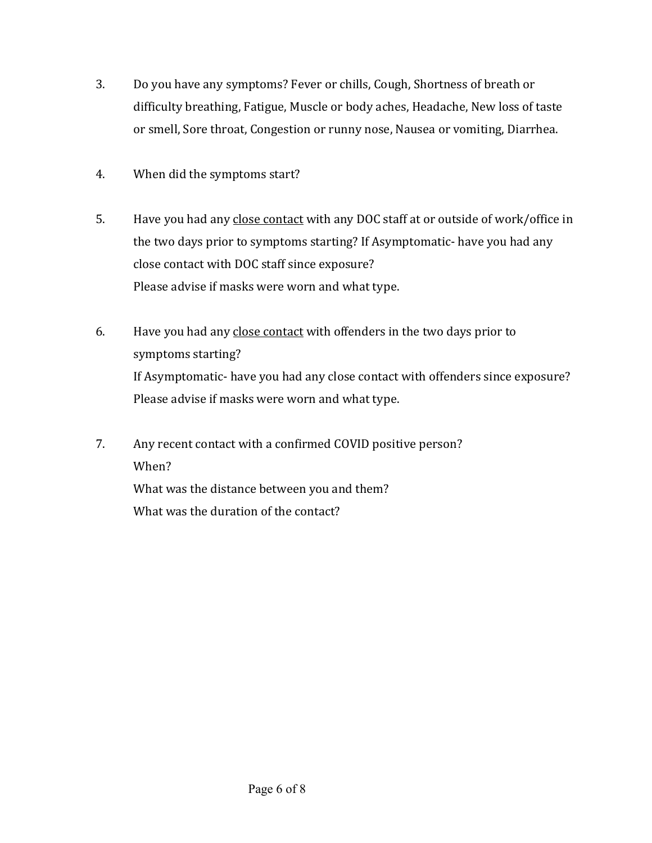- 3. Do you have any symptoms? Fever or chills, Cough, Shortness of breath or difficulty breathing, Fatigue, Muscle or body aches, Headache, New loss of taste or smell, Sore throat, Congestion or runny nose, Nausea or vomiting, Diarrhea.
- 4. When did the symptoms start?
- 5. Have you had any close contact with any DOC staff at or outside of work/office in the two days prior to symptoms starting? If Asymptomatic- have you had any close contact with DOC staff since exposure? Please advise if masks were worn and what type.
- 6. Have you had any close contact with offenders in the two days prior to symptoms starting? If Asymptomatic- have you had any close contact with offenders since exposure? Please advise if masks were worn and what type.
- 7. Any recent contact with a confirmed COVID positive person? When? What was the distance between you and them? What was the duration of the contact?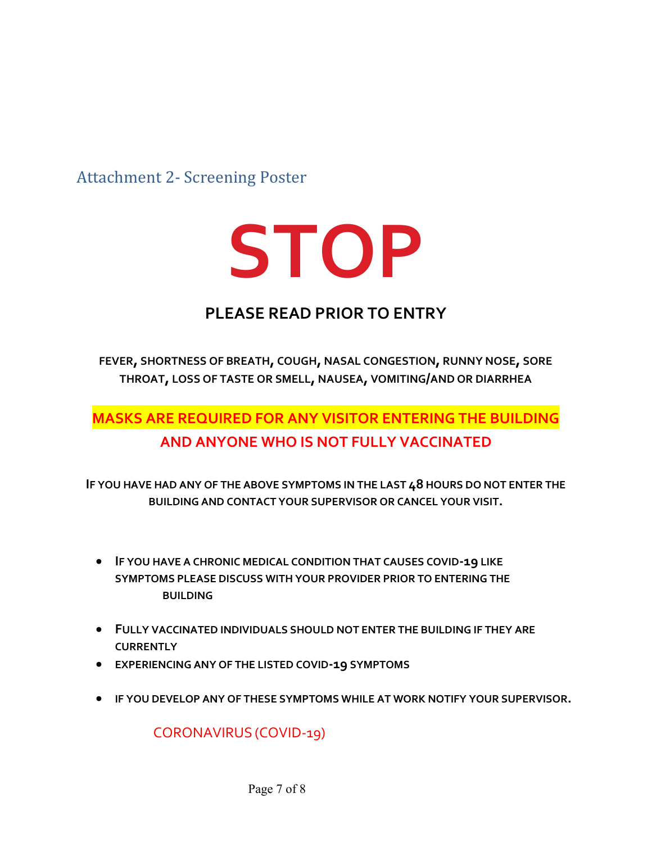<span id="page-6-0"></span>Attachment 2- Screening Poster



# **PLEASE READ PRIOR TO ENTRY**

**FEVER, SHORTNESS OF BREATH, COUGH, NASAL CONGESTION, RUNNY NOSE, SORE THROAT, LOSS OF TASTE OR SMELL, NAUSEA, VOMITING/AND OR DIARRHEA** 

# **MASKS ARE REQUIRED FOR ANY VISITOR ENTERING THE BUILDING AND ANYONE WHO IS NOT FULLY VACCINATED**

**IF YOU HAVE HAD ANY OF THE ABOVE SYMPTOMS IN THE LAST 48 HOURS DO NOT ENTER THE BUILDING AND CONTACT YOUR SUPERVISOR OR CANCEL YOUR VISIT.**

- **IF YOU HAVE A CHRONIC MEDICAL CONDITION THAT CAUSES COVID-19 LIKE SYMPTOMS PLEASE DISCUSS WITH YOUR PROVIDER PRIOR TO ENTERING THE BUILDING**
- **FULLY VACCINATED INDIVIDUALS SHOULD NOT ENTER THE BUILDING IF THEY ARE CURRENTLY**
- **EXPERIENCING ANY OF THE LISTED COVID-19 SYMPTOMS**
- **IF YOU DEVELOP ANY OF THESE SYMPTOMS WHILE AT WORK NOTIFY YOUR SUPERVISOR.**

CORONAVIRUS (COVID-19)